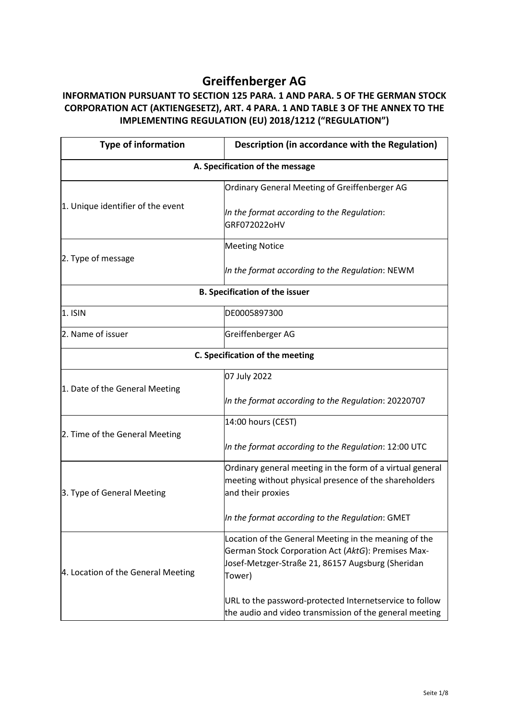## **Greiffenberger AG**

## **INFORMATION PURSUANT TO SECTION 125 PARA. 1 AND PARA. 5 OF THE GERMAN STOCK CORPORATION ACT (AKTIENGESETZ), ART. 4 PARA. 1 AND TABLE 3 OF THE ANNEX TO THE IMPLEMENTING REGULATION (EU) 2018/1212 ("REGULATION")**

| <b>Type of information</b>            | Description (in accordance with the Regulation)                                                                                                                            |
|---------------------------------------|----------------------------------------------------------------------------------------------------------------------------------------------------------------------------|
|                                       | A. Specification of the message                                                                                                                                            |
| 1. Unique identifier of the event     | Ordinary General Meeting of Greiffenberger AG                                                                                                                              |
|                                       | In the format according to the Regulation:<br>GRF072022oHV                                                                                                                 |
| 2. Type of message                    | <b>Meeting Notice</b>                                                                                                                                                      |
|                                       | In the format according to the Regulation: NEWM                                                                                                                            |
| <b>B. Specification of the issuer</b> |                                                                                                                                                                            |
| 1. ISIN                               | DE0005897300                                                                                                                                                               |
| 2. Name of issuer                     | Greiffenberger AG                                                                                                                                                          |
| C. Specification of the meeting       |                                                                                                                                                                            |
| 1. Date of the General Meeting        | 07 July 2022                                                                                                                                                               |
|                                       | In the format according to the Regulation: 20220707                                                                                                                        |
|                                       | 14:00 hours (CEST)                                                                                                                                                         |
| 2. Time of the General Meeting        | In the format according to the Regulation: 12:00 UTC                                                                                                                       |
| 3. Type of General Meeting            | Ordinary general meeting in the form of a virtual general<br>meeting without physical presence of the shareholders<br>and their proxies                                    |
|                                       | In the format according to the Regulation: GMET                                                                                                                            |
| 4. Location of the General Meeting    | Location of the General Meeting in the meaning of the<br>German Stock Corporation Act (AktG): Premises Max-<br>Josef-Metzger-Straße 21, 86157 Augsburg (Sheridan<br>Tower) |
|                                       | URL to the password-protected Internetservice to follow<br>the audio and video transmission of the general meeting                                                         |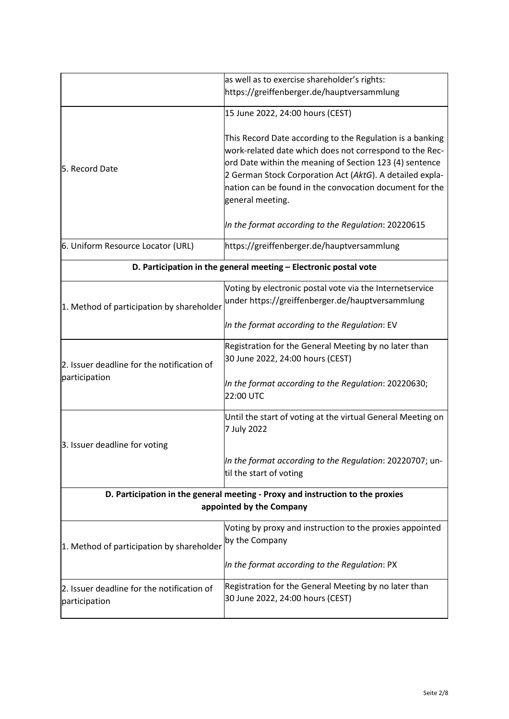|                                                                                                            | as well as to exercise shareholder's rights:                                                                                                                                                                                                                                                                               |
|------------------------------------------------------------------------------------------------------------|----------------------------------------------------------------------------------------------------------------------------------------------------------------------------------------------------------------------------------------------------------------------------------------------------------------------------|
|                                                                                                            | https://greiffenberger.de/hauptversammlung                                                                                                                                                                                                                                                                                 |
|                                                                                                            | 15 June 2022, 24:00 hours (CEST)                                                                                                                                                                                                                                                                                           |
| 5. Record Date                                                                                             | This Record Date according to the Regulation is a banking<br>work-related date which does not correspond to the Rec-<br>ord Date within the meaning of Section 123 (4) sentence<br>2 German Stock Corporation Act (AktG). A detailed expla-<br>nation can be found in the convocation document for the<br>general meeting. |
|                                                                                                            | In the format according to the Regulation: 20220615                                                                                                                                                                                                                                                                        |
| 6. Uniform Resource Locator (URL)                                                                          | https://greiffenberger.de/hauptversammlung                                                                                                                                                                                                                                                                                 |
| D. Participation in the general meeting - Electronic postal vote                                           |                                                                                                                                                                                                                                                                                                                            |
| 1. Method of participation by shareholder                                                                  | Voting by electronic postal vote via the Internetservice<br>under https://greiffenberger.de/hauptversammlung                                                                                                                                                                                                               |
|                                                                                                            | In the format according to the Regulation: EV                                                                                                                                                                                                                                                                              |
| 2. Issuer deadline for the notification of<br>participation                                                | Registration for the General Meeting by no later than<br>30 June 2022, 24:00 hours (CEST)                                                                                                                                                                                                                                  |
|                                                                                                            | In the format according to the Regulation: 20220630;<br>22:00 UTC                                                                                                                                                                                                                                                          |
|                                                                                                            | Until the start of voting at the virtual General Meeting on<br>7 July 2022                                                                                                                                                                                                                                                 |
| 3. Issuer deadline for voting                                                                              | In the format according to the Regulation: 20220707; un-<br>til the start of voting                                                                                                                                                                                                                                        |
| D. Participation in the general meeting - Proxy and instruction to the proxies<br>appointed by the Company |                                                                                                                                                                                                                                                                                                                            |
| 1. Method of participation by shareholder                                                                  | Voting by proxy and instruction to the proxies appointed<br>by the Company                                                                                                                                                                                                                                                 |
|                                                                                                            | In the format according to the Regulation: PX                                                                                                                                                                                                                                                                              |
| 2. Issuer deadline for the notification of<br>participation                                                | Registration for the General Meeting by no later than<br>30 June 2022, 24:00 hours (CEST)                                                                                                                                                                                                                                  |
|                                                                                                            |                                                                                                                                                                                                                                                                                                                            |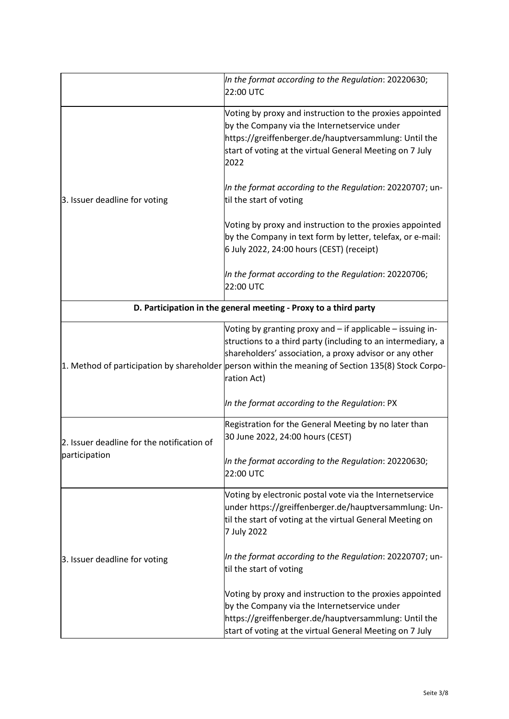|                                                             | In the format according to the Regulation: 20220630;<br>22:00 UTC                                                                                                                                                                                                                                          |
|-------------------------------------------------------------|------------------------------------------------------------------------------------------------------------------------------------------------------------------------------------------------------------------------------------------------------------------------------------------------------------|
| 3. Issuer deadline for voting                               | Voting by proxy and instruction to the proxies appointed<br>by the Company via the Internetservice under<br>https://greiffenberger.de/hauptversammlung: Until the<br>start of voting at the virtual General Meeting on 7 July<br>2022                                                                      |
|                                                             | In the format according to the Regulation: 20220707; un-<br>til the start of voting                                                                                                                                                                                                                        |
|                                                             | Voting by proxy and instruction to the proxies appointed<br>by the Company in text form by letter, telefax, or e-mail:<br>6 July 2022, 24:00 hours (CEST) (receipt)                                                                                                                                        |
|                                                             | In the format according to the Regulation: 20220706;<br>22:00 UTC                                                                                                                                                                                                                                          |
|                                                             | D. Participation in the general meeting - Proxy to a third party                                                                                                                                                                                                                                           |
|                                                             | Voting by granting proxy and - if applicable - issuing in-<br>structions to a third party (including to an intermediary, a<br>shareholders' association, a proxy advisor or any other<br>1. Method of participation by shareholder person within the meaning of Section 135(8) Stock Corpo-<br>ration Act) |
|                                                             | In the format according to the Regulation: PX                                                                                                                                                                                                                                                              |
| 2. Issuer deadline for the notification of<br>participation | Registration for the General Meeting by no later than<br>30 June 2022, 24:00 hours (CEST)                                                                                                                                                                                                                  |
|                                                             | In the format according to the Regulation: 20220630;<br>22:00 UTC                                                                                                                                                                                                                                          |
| 3. Issuer deadline for voting                               | Voting by electronic postal vote via the Internetservice<br>under https://greiffenberger.de/hauptversammlung: Un-<br>til the start of voting at the virtual General Meeting on<br>7 July 2022                                                                                                              |
|                                                             | In the format according to the Regulation: 20220707; un-<br>til the start of voting                                                                                                                                                                                                                        |
|                                                             | Voting by proxy and instruction to the proxies appointed<br>by the Company via the Internetservice under<br>https://greiffenberger.de/hauptversammlung: Until the<br>start of voting at the virtual General Meeting on 7 July                                                                              |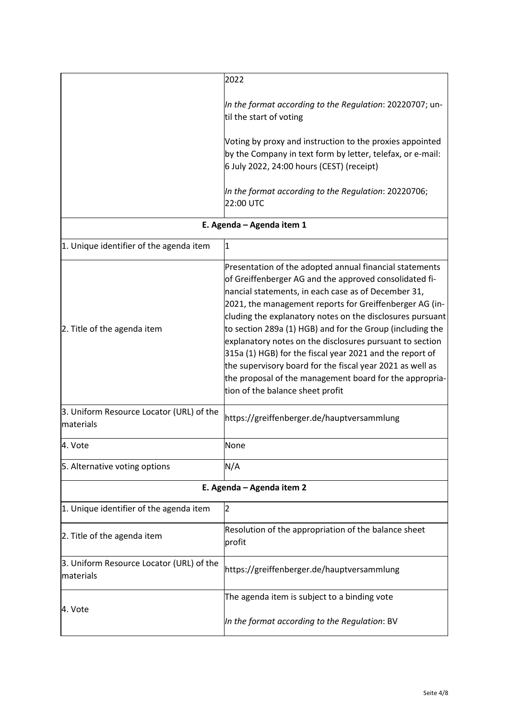|                                                       | 2022                                                                                                                                                                                                                                                                                                                                                                                                                                                                                                                                                                                                                                              |
|-------------------------------------------------------|---------------------------------------------------------------------------------------------------------------------------------------------------------------------------------------------------------------------------------------------------------------------------------------------------------------------------------------------------------------------------------------------------------------------------------------------------------------------------------------------------------------------------------------------------------------------------------------------------------------------------------------------------|
|                                                       | In the format according to the Regulation: 20220707; un-<br>til the start of voting                                                                                                                                                                                                                                                                                                                                                                                                                                                                                                                                                               |
|                                                       | Voting by proxy and instruction to the proxies appointed<br>by the Company in text form by letter, telefax, or e-mail:<br>6 July 2022, 24:00 hours (CEST) (receipt)                                                                                                                                                                                                                                                                                                                                                                                                                                                                               |
|                                                       | In the format according to the Regulation: 20220706;<br>22:00 UTC                                                                                                                                                                                                                                                                                                                                                                                                                                                                                                                                                                                 |
|                                                       | E. Agenda - Agenda item 1                                                                                                                                                                                                                                                                                                                                                                                                                                                                                                                                                                                                                         |
| 1. Unique identifier of the agenda item               | $\mathbf{1}$                                                                                                                                                                                                                                                                                                                                                                                                                                                                                                                                                                                                                                      |
| 2. Title of the agenda item                           | Presentation of the adopted annual financial statements<br>of Greiffenberger AG and the approved consolidated fi-<br>nancial statements, in each case as of December 31,<br>2021, the management reports for Greiffenberger AG (in-<br>cluding the explanatory notes on the disclosures pursuant<br>to section 289a (1) HGB) and for the Group (including the<br>explanatory notes on the disclosures pursuant to section<br>315a (1) HGB) for the fiscal year 2021 and the report of<br>the supervisory board for the fiscal year 2021 as well as<br>the proposal of the management board for the appropria-<br>tion of the balance sheet profit |
| 3. Uniform Resource Locator (URL) of the<br>materials | https://greiffenberger.de/hauptversammlung                                                                                                                                                                                                                                                                                                                                                                                                                                                                                                                                                                                                        |
| 4. Vote                                               | None                                                                                                                                                                                                                                                                                                                                                                                                                                                                                                                                                                                                                                              |
| 5. Alternative voting options                         | N/A                                                                                                                                                                                                                                                                                                                                                                                                                                                                                                                                                                                                                                               |
|                                                       | E. Agenda - Agenda item 2                                                                                                                                                                                                                                                                                                                                                                                                                                                                                                                                                                                                                         |
| 1. Unique identifier of the agenda item               | 2                                                                                                                                                                                                                                                                                                                                                                                                                                                                                                                                                                                                                                                 |
| 2. Title of the agenda item                           | Resolution of the appropriation of the balance sheet<br>profit                                                                                                                                                                                                                                                                                                                                                                                                                                                                                                                                                                                    |
| 3. Uniform Resource Locator (URL) of the<br>materials | https://greiffenberger.de/hauptversammlung                                                                                                                                                                                                                                                                                                                                                                                                                                                                                                                                                                                                        |
| 4. Vote                                               | The agenda item is subject to a binding vote                                                                                                                                                                                                                                                                                                                                                                                                                                                                                                                                                                                                      |
|                                                       | In the format according to the Regulation: BV                                                                                                                                                                                                                                                                                                                                                                                                                                                                                                                                                                                                     |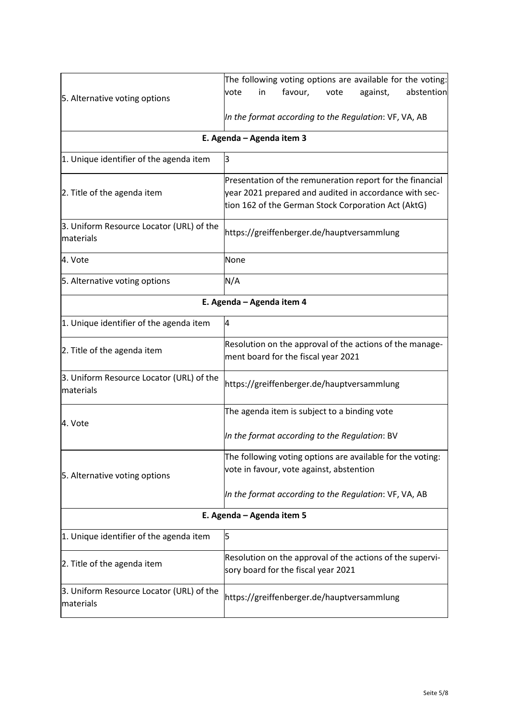|                                                       | The following voting options are available for the voting: |
|-------------------------------------------------------|------------------------------------------------------------|
|                                                       | favour,<br>against,<br>abstention<br>vote<br>in<br>vote    |
| 5. Alternative voting options                         |                                                            |
|                                                       | In the format according to the Regulation: VF, VA, AB      |
|                                                       | E. Agenda - Agenda item 3                                  |
| 1. Unique identifier of the agenda item               | З                                                          |
|                                                       | Presentation of the remuneration report for the financial  |
| 2. Title of the agenda item                           | year 2021 prepared and audited in accordance with sec-     |
|                                                       | tion 162 of the German Stock Corporation Act (AktG)        |
| 3. Uniform Resource Locator (URL) of the              |                                                            |
| materials                                             | https://greiffenberger.de/hauptversammlung                 |
| 4. Vote                                               | None                                                       |
| 5. Alternative voting options                         | N/A                                                        |
| E. Agenda - Agenda item 4                             |                                                            |
| 1. Unique identifier of the agenda item               | 4                                                          |
|                                                       | Resolution on the approval of the actions of the manage-   |
| 2. Title of the agenda item                           | ment board for the fiscal year 2021                        |
| 3. Uniform Resource Locator (URL) of the              | https://greiffenberger.de/hauptversammlung                 |
| materials                                             |                                                            |
|                                                       | The agenda item is subject to a binding vote               |
| 4. Vote                                               | In the format according to the Regulation: BV              |
| 5. Alternative voting options                         | The following voting options are available for the voting: |
|                                                       | vote in favour, vote against, abstention                   |
|                                                       | In the format according to the Regulation: VF, VA, AB      |
| E. Agenda - Agenda item 5                             |                                                            |
| 1. Unique identifier of the agenda item               | 5                                                          |
| 2. Title of the agenda item                           | Resolution on the approval of the actions of the supervi-  |
|                                                       | sory board for the fiscal year 2021                        |
| 3. Uniform Resource Locator (URL) of the<br>materials | https://greiffenberger.de/hauptversammlung                 |
|                                                       |                                                            |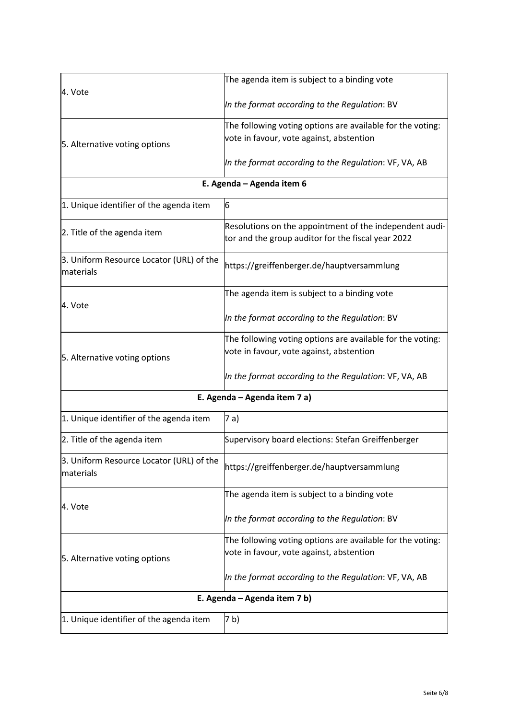| 4. Vote                                               | The agenda item is subject to a binding vote               |
|-------------------------------------------------------|------------------------------------------------------------|
|                                                       | In the format according to the Regulation: BV              |
|                                                       | The following voting options are available for the voting: |
| 5. Alternative voting options                         | vote in favour, vote against, abstention                   |
|                                                       | In the format according to the Regulation: VF, VA, AB      |
| E. Agenda - Agenda item 6                             |                                                            |
| 1. Unique identifier of the agenda item               | 6                                                          |
| 2. Title of the agenda item                           | Resolutions on the appointment of the independent audi-    |
|                                                       | tor and the group auditor for the fiscal year 2022         |
| 3. Uniform Resource Locator (URL) of the<br>materials | https://greiffenberger.de/hauptversammlung                 |
|                                                       | The agenda item is subject to a binding vote               |
| 4. Vote                                               | In the format according to the Regulation: BV              |
|                                                       | The following voting options are available for the voting: |
| 5. Alternative voting options                         | vote in favour, vote against, abstention                   |
|                                                       | In the format according to the Regulation: VF, VA, AB      |
| E. Agenda – Agenda item 7 a)                          |                                                            |
| 1. Unique identifier of the agenda item               | 7 a)                                                       |
| 2. Title of the agenda item                           | Supervisory board elections: Stefan Greiffenberger         |
| 3. Uniform Resource Locator (URL) of the<br>materials | https://greiffenberger.de/hauptversammlung                 |
|                                                       | The agenda item is subject to a binding vote               |
| 4. Vote                                               | In the format according to the Regulation: BV              |
|                                                       | The following voting options are available for the voting: |
| 5. Alternative voting options                         | vote in favour, vote against, abstention                   |
|                                                       | In the format according to the Regulation: VF, VA, AB      |
| E. Agenda – Agenda item 7 b)                          |                                                            |
| 1. Unique identifier of the agenda item               | 7 b)                                                       |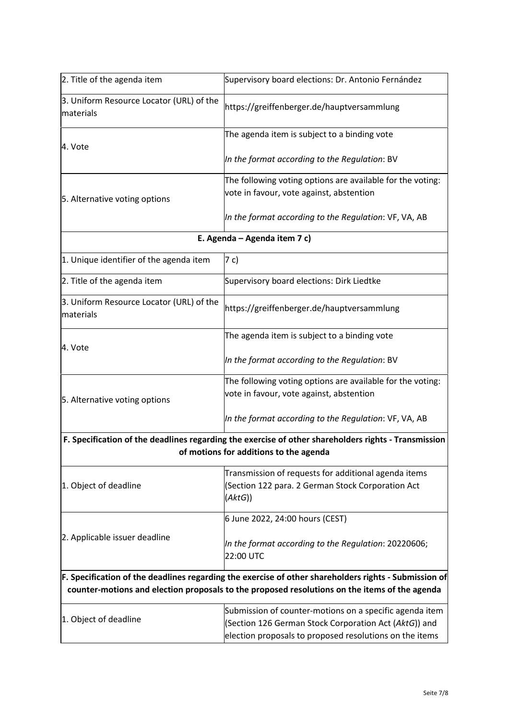| 2. Title of the agenda item                           | Supervisory board elections: Dr. Antonio Fernández                                                                                                                                                     |
|-------------------------------------------------------|--------------------------------------------------------------------------------------------------------------------------------------------------------------------------------------------------------|
| 3. Uniform Resource Locator (URL) of the<br>materials | https://greiffenberger.de/hauptversammlung                                                                                                                                                             |
| 4. Vote                                               | The agenda item is subject to a binding vote                                                                                                                                                           |
|                                                       | In the format according to the Regulation: BV                                                                                                                                                          |
| 5. Alternative voting options                         | The following voting options are available for the voting:<br>vote in favour, vote against, abstention                                                                                                 |
|                                                       | In the format according to the Regulation: VF, VA, AB                                                                                                                                                  |
|                                                       | E. Agenda - Agenda item 7 c)                                                                                                                                                                           |
| 1. Unique identifier of the agenda item               | 7 c)                                                                                                                                                                                                   |
| 2. Title of the agenda item                           | Supervisory board elections: Dirk Liedtke                                                                                                                                                              |
| 3. Uniform Resource Locator (URL) of the<br>materials | https://greiffenberger.de/hauptversammlung                                                                                                                                                             |
| 4. Vote                                               | The agenda item is subject to a binding vote                                                                                                                                                           |
|                                                       | In the format according to the Regulation: BV                                                                                                                                                          |
| 5. Alternative voting options                         | The following voting options are available for the voting:<br>vote in favour, vote against, abstention                                                                                                 |
|                                                       | In the format according to the Regulation: VF, VA, AB                                                                                                                                                  |
|                                                       | F. Specification of the deadlines regarding the exercise of other shareholders rights - Transmission<br>of motions for additions to the agenda                                                         |
| 1. Object of deadline                                 | Transmission of requests for additional agenda items<br>(Section 122 para. 2 German Stock Corporation Act<br>(AktG))                                                                                   |
|                                                       | 6 June 2022, 24:00 hours (CEST)                                                                                                                                                                        |
| 2. Applicable issuer deadline                         | In the format according to the Regulation: 20220606;<br>22:00 UTC                                                                                                                                      |
|                                                       | F. Specification of the deadlines regarding the exercise of other shareholders rights - Submission of<br>counter-motions and election proposals to the proposed resolutions on the items of the agenda |
| 1. Object of deadline                                 | Submission of counter-motions on a specific agenda item<br>(Section 126 German Stock Corporation Act (AktG)) and<br>election proposals to proposed resolutions on the items                            |